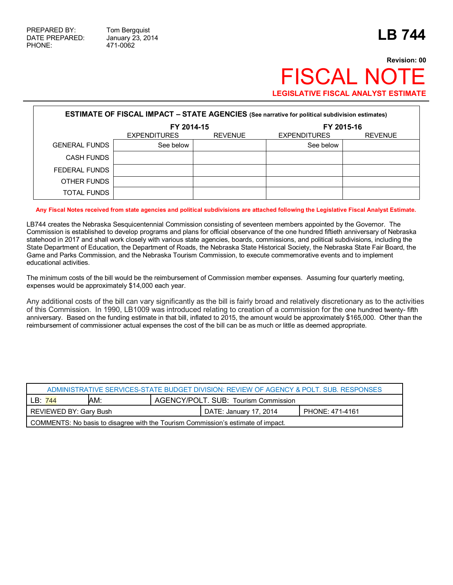## **Revision: 00 FISCAL NOT LEGISLATIVE FISCAL ANALYST ESTIMATE**

| <b>ESTIMATE OF FISCAL IMPACT - STATE AGENCIES (See narrative for political subdivision estimates)</b> |                     |                |                     |                |  |  |
|-------------------------------------------------------------------------------------------------------|---------------------|----------------|---------------------|----------------|--|--|
|                                                                                                       | FY 2014-15          |                | FY 2015-16          |                |  |  |
|                                                                                                       | <b>EXPENDITURES</b> | <b>REVENUE</b> | <b>EXPENDITURES</b> | <b>REVENUE</b> |  |  |
| <b>GENERAL FUNDS</b>                                                                                  | See below           |                | See below           |                |  |  |
| <b>CASH FUNDS</b>                                                                                     |                     |                |                     |                |  |  |
| FEDERAL FUNDS                                                                                         |                     |                |                     |                |  |  |
| OTHER FUNDS                                                                                           |                     |                |                     |                |  |  |
| TOTAL FUNDS                                                                                           |                     |                |                     |                |  |  |

## **Any Fiscal Notes received from state agencies and political subdivisions are attached following the Legislative Fiscal Analyst Estimate.**

LB744 creates the Nebraska Sesquicentennial Commission consisting of seventeen members appointed by the Governor. The Commission is established to develop programs and plans for official observance of the one hundred fiftieth anniversary of Nebraska statehood in 2017 and shall work closely with various state agencies, boards, commissions, and political subdivisions, including the State Department of Education, the Department of Roads, the Nebraska State Historical Society, the Nebraska State Fair Board, the Game and Parks Commission, and the Nebraska Tourism Commission, to execute commemorative events and to implement educational activities.

The minimum costs of the bill would be the reimbursement of Commission member expenses. Assuming four quarterly meeting, expenses would be approximately \$14,000 each year.

Any additional costs of the bill can vary significantly as the bill is fairly broad and relatively discretionary as to the activities of this Commission. In 1990, LB1009 was introduced relating to creation of a commission for the one hundred twenty- fifth anniversary. Based on the funding estimate in that bill, inflated to 2015, the amount would be approximately \$165,000. Other than the reimbursement of commissioner actual expenses the cost of the bill can be as much or little as deemed appropriate.

| ADMINISTRATIVE SERVICES-STATE BUDGET DIVISION: REVIEW OF AGENCY & POLT, SUB, RESPONSES |     |                                      |  |  |  |
|----------------------------------------------------------------------------------------|-----|--------------------------------------|--|--|--|
| LB:<br>744                                                                             | AM: | AGENCY/POLT, SUB: Tourism Commission |  |  |  |
| REVIEWED BY: Gary Bush<br>PHONE: 471-4161<br>DATE: January 17, 2014                    |     |                                      |  |  |  |
| COMMENTS: No basis to disagree with the Tourism Commission's estimate of impact.       |     |                                      |  |  |  |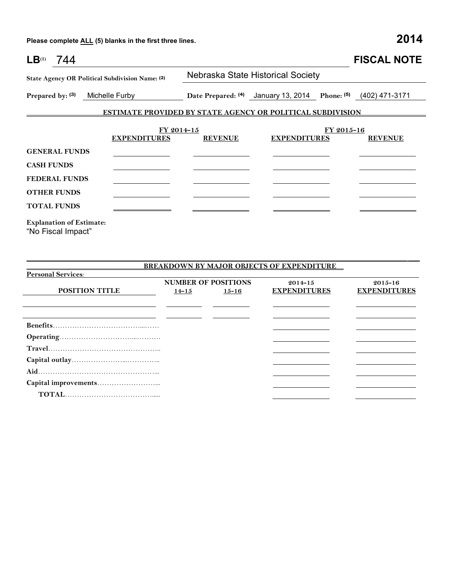**Please complete ALL (5) blanks in the first three lines. 2014**

| LB <sup>(1)</sup><br>744                                                           |                                                                   |                |                                                               |            | <b>FISCAL NOTE</b> |  |
|------------------------------------------------------------------------------------|-------------------------------------------------------------------|----------------|---------------------------------------------------------------|------------|--------------------|--|
| State Agency OR Political Subdivision Name: (2)<br>Prepared by: (3) Michelle Furby |                                                                   |                | Nebraska State Historical Society                             |            |                    |  |
|                                                                                    |                                                                   |                | Date Prepared: (4) January 13, 2014 Phone: (5) (402) 471-3171 |            |                    |  |
|                                                                                    | <b>ESTIMATE PROVIDED BY STATE AGENCY OR POLITICAL SUBDIVISION</b> |                |                                                               |            |                    |  |
|                                                                                    | FY 2014-15<br><b>EXPENDITURES</b>                                 | <b>REVENUE</b> | <b>EXPENDITURES</b>                                           | FY 2015-16 | <b>REVENUE</b>     |  |
| <b>GENERAL FUNDS</b>                                                               |                                                                   |                |                                                               |            |                    |  |
| <b>CASH FUNDS</b>                                                                  |                                                                   |                |                                                               |            |                    |  |
| <b>FEDERAL FUNDS</b>                                                               |                                                                   |                |                                                               |            |                    |  |
| <b>OTHER FUNDS</b>                                                                 |                                                                   |                |                                                               |            |                    |  |
| <b>TOTAL FUNDS</b>                                                                 |                                                                   |                |                                                               |            |                    |  |
| <b>Explanation of Estimate:</b><br>"No Fiscal Impact"                              |                                                                   |                |                                                               |            |                    |  |

|                           |                            |           | <b>BREAKDOWN BY MAJOR OBJECTS OF EXPENDITURE</b> |                     |
|---------------------------|----------------------------|-----------|--------------------------------------------------|---------------------|
| <b>Personal Services:</b> |                            |           |                                                  |                     |
|                           | <b>NUMBER OF POSITIONS</b> |           | $2014 - 15$                                      | $2015 - 16$         |
| <b>POSITION TITLE</b>     | $14 - 15$                  | $15 - 16$ | <b>EXPENDITURES</b>                              | <b>EXPENDITURES</b> |
|                           |                            |           |                                                  |                     |
|                           |                            |           |                                                  |                     |
|                           |                            |           |                                                  |                     |
|                           |                            |           |                                                  |                     |
|                           |                            |           |                                                  |                     |
|                           |                            |           |                                                  |                     |
|                           |                            |           |                                                  |                     |
|                           |                            |           |                                                  |                     |
|                           |                            |           |                                                  |                     |
|                           |                            |           |                                                  |                     |
|                           |                            |           |                                                  |                     |
|                           |                            |           |                                                  |                     |

\_\_\_\_\_\_\_\_\_\_\_\_\_\_\_\_\_\_\_\_\_\_\_\_\_\_\_\_\_\_\_\_\_\_\_\_\_\_\_\_\_\_\_\_\_\_\_\_\_\_\_\_\_\_\_\_\_\_\_\_\_\_\_\_\_\_\_\_\_\_\_\_\_\_\_\_\_\_\_\_\_\_\_\_\_\_\_\_\_\_\_\_\_\_\_\_\_\_\_\_\_\_ \_\_\_